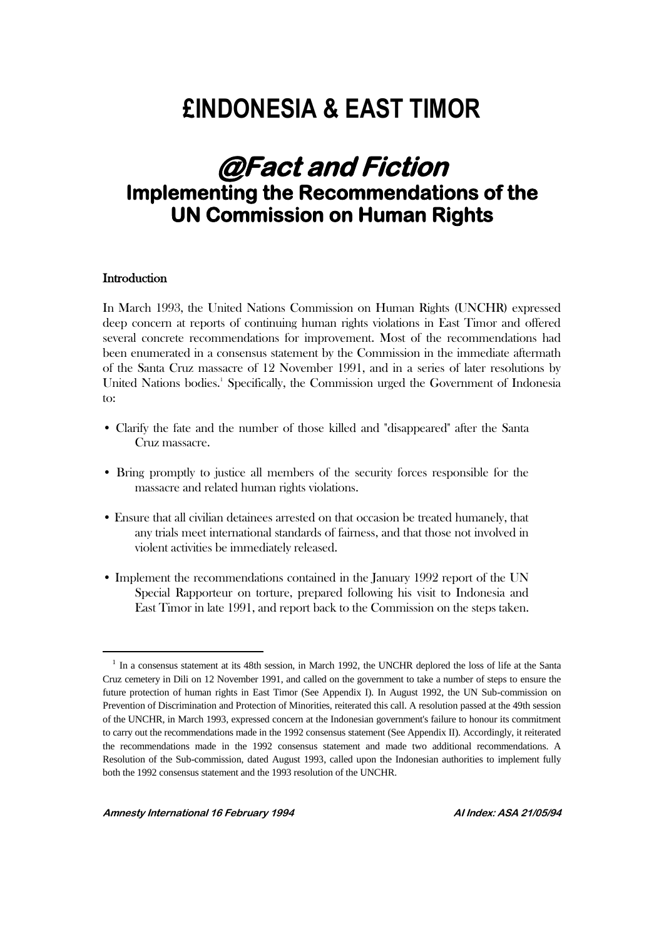# **£INDONESIA & EAST TIMOR**

# **@Fact and Fiction Implementing the Recommendations of the UN Commission on Human Rights**

#### **Introduction**

 $\overline{a}$ 

In March 1993, the United Nations Commission on Human Rights (UNCHR) expressed deep concern at reports of continuing human rights violations in East Timor and offered several concrete recommendations for improvement. Most of the recommendations had been enumerated in a consensus statement by the Commission in the immediate aftermath of the Santa Cruz massacre of 12 November 1991, and in a series of later resolutions by United Nations bodies.<sup>1</sup> Specifically, the Commission urged the Government of Indonesia to:

- Clarify the fate and the number of those killed and "disappeared" after the Santa Cruz massacre.
- Bring promptly to justice all members of the security forces responsible for the massacre and related human rights violations.
- Ensure that all civilian detainees arrested on that occasion be treated humanely, that any trials meet international standards of fairness, and that those not involved in violent activities be immediately released.
- Implement the recommendations contained in the January 1992 report of the UN Special Rapporteur on torture, prepared following his visit to Indonesia and East Timor in late 1991, and report back to the Commission on the steps taken.

<sup>&</sup>lt;sup>1</sup> In a consensus statement at its 48th session, in March 1992, the UNCHR deplored the loss of life at the Santa Cruz cemetery in Dili on 12 November 1991, and called on the government to take a number of steps to ensure the future protection of human rights in East Timor (See Appendix I). In August 1992, the UN Sub-commission on Prevention of Discrimination and Protection of Minorities, reiterated this call. A resolution passed at the 49th session of the UNCHR, in March 1993, expressed concern at the Indonesian government's failure to honour its commitment to carry out the recommendations made in the 1992 consensus statement (See Appendix II). Accordingly, it reiterated the recommendations made in the 1992 consensus statement and made two additional recommendations. A Resolution of the Sub-commission, dated August 1993, called upon the Indonesian authorities to implement fully both the 1992 consensus statement and the 1993 resolution of the UNCHR.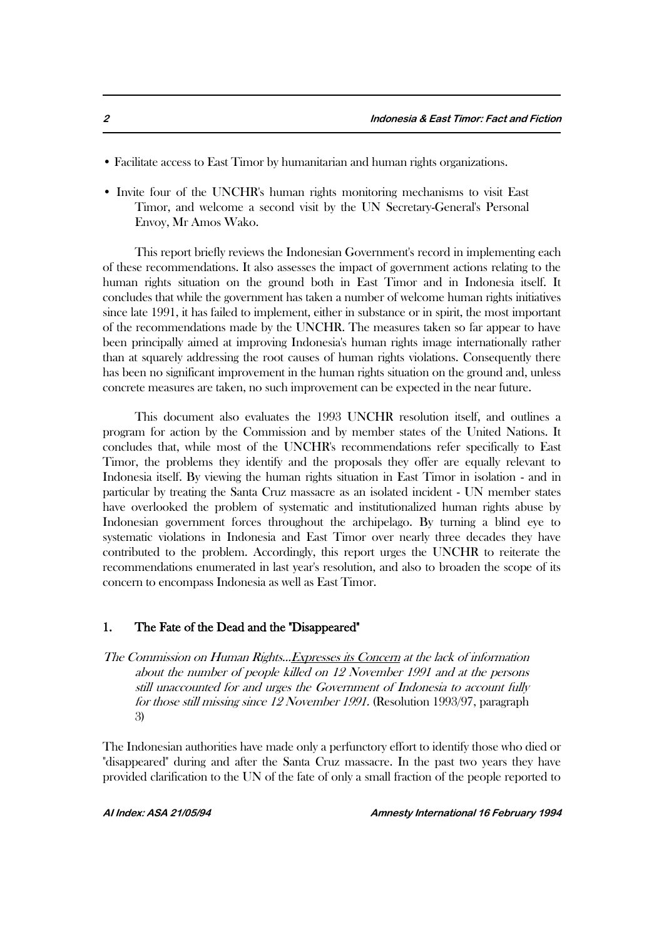- Facilitate access to East Timor by humanitarian and human rights organizations.
- Invite four of the UNCHR's human rights monitoring mechanisms to visit East Timor, and welcome a second visit by the UN Secretary-General's Personal Envoy, Mr Amos Wako.

This report briefly reviews the Indonesian Government's record in implementing each of these recommendations. It also assesses the impact of government actions relating to the human rights situation on the ground both in East Timor and in Indonesia itself. It concludes that while the government has taken a number of welcome human rights initiatives since late 1991, it has failed to implement, either in substance or in spirit, the most important of the recommendations made by the UNCHR. The measures taken so far appear to have been principally aimed at improving Indonesia's human rights image internationally rather than at squarely addressing the root causes of human rights violations. Consequently there has been no significant improvement in the human rights situation on the ground and, unless concrete measures are taken, no such improvement can be expected in the near future.

This document also evaluates the 1993 UNCHR resolution itself, and outlines a program for action by the Commission and by member states of the United Nations. It concludes that, while most of the UNCHR's recommendations refer specifically to East Timor, the problems they identify and the proposals they offer are equally relevant to Indonesia itself. By viewing the human rights situation in East Timor in isolation - and in particular by treating the Santa Cruz massacre as an isolated incident - UN member states have overlooked the problem of systematic and institutionalized human rights abuse by Indonesian government forces throughout the archipelago. By turning a blind eye to systematic violations in Indonesia and East Timor over nearly three decades they have contributed to the problem. Accordingly, this report urges the UNCHR to reiterate the recommendations enumerated in last year's resolution, and also to broaden the scope of its concern to encompass Indonesia as well as East Timor.

#### 1. The Fate of the Dead and the "Disappeared"

The Commission on Human Rights...Expresses its Concern at the lack of information about the number of people killed on 12 November 1991 and at the persons still unaccounted for and urges the Government of Indonesia to account fully for those still missing since 12 November 1991. (Resolution 1993/97, paragraph 3)

The Indonesian authorities have made only a perfunctory effort to identify those who died or "disappeared" during and after the Santa Cruz massacre. In the past two years they have provided clarification to the UN of the fate of only a small fraction of the people reported to

**AI Index: ASA 21/05/94 Amnesty International 16 February 1994**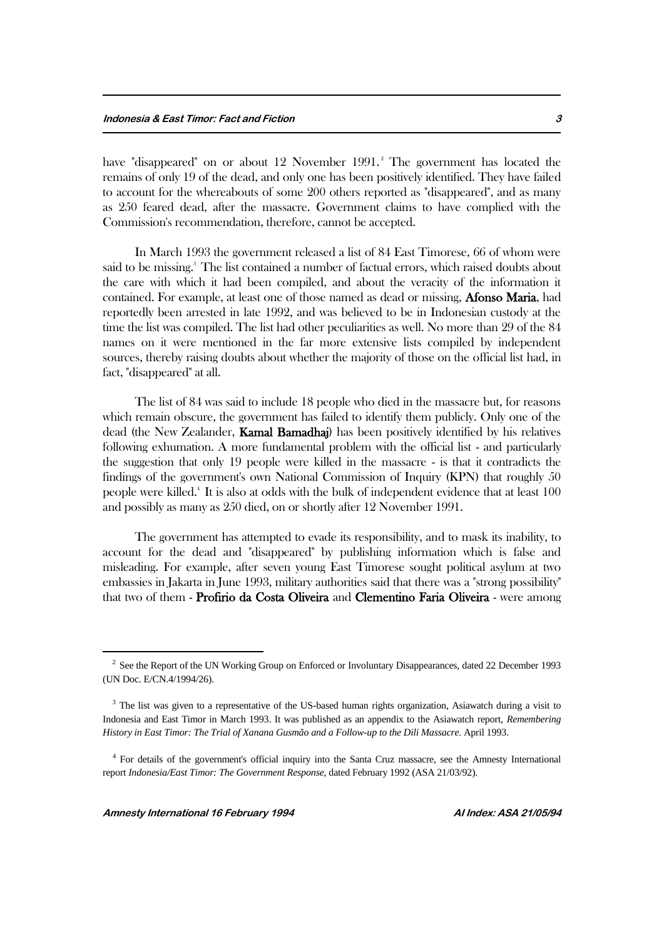have "disappeared" on or about 12 November 1991.<sup>2</sup> The government has located the remains of only 19 of the dead, and only one has been positively identified. They have failed to account for the whereabouts of some 200 others reported as "disappeared", and as many as 250 feared dead, after the massacre. Government claims to have complied with the Commission's recommendation, therefore, cannot be accepted.

In March 1993 the government released a list of 84 East Timorese, 66 of whom were said to be missing.<sup>3</sup> The list contained a number of factual errors, which raised doubts about the care with which it had been compiled, and about the veracity of the information it contained. For example, at least one of those named as dead or missing, Afonso Maria, had reportedly been arrested in late 1992, and was believed to be in Indonesian custody at the time the list was compiled. The list had other peculiarities as well. No more than 29 of the 84 names on it were mentioned in the far more extensive lists compiled by independent sources, thereby raising doubts about whether the majority of those on the official list had, in fact, "disappeared" at all.

The list of 84 was said to include 18 people who died in the massacre but, for reasons which remain obscure, the government has failed to identify them publicly. Only one of the dead (the New Zealander, Kamal Bamadhaj) has been positively identified by his relatives following exhumation. A more fundamental problem with the official list - and particularly the suggestion that only 19 people were killed in the massacre - is that it contradicts the findings of the government's own National Commission of Inquiry (KPN) that roughly 50 people were killed.<sup>4</sup> It is also at odds with the bulk of independent evidence that at least 100 and possibly as many as 250 died, on or shortly after 12 November 1991.

The government has attempted to evade its responsibility, and to mask its inability, to account for the dead and "disappeared" by publishing information which is false and misleading. For example, after seven young East Timorese sought political asylum at two embassies in Jakarta in June 1993, military authorities said that there was a "strong possibility" that two of them - Profirio da Costa Oliveira and Clementino Faria Oliveira - were among

<sup>&</sup>lt;sup>2</sup> See the Report of the UN Working Group on Enforced or Involuntary Disappearances, dated 22 December 1993 (UN Doc. E/CN.4/1994/26).

<sup>&</sup>lt;sup>3</sup> The list was given to a representative of the US-based human rights organization, Asiawatch during a visit to Indonesia and East Timor in March 1993. It was published as an appendix to the Asiawatch report, *Remembering History in East Timor: The Trial of Xanana Gusmão and a Follow-up to the Dili Massacre*. April 1993.

<sup>&</sup>lt;sup>4</sup> For details of the government's official inquiry into the Santa Cruz massacre, see the Amnesty International report *Indonesia/East Timor: The Government Response*, dated February 1992 (ASA 21/03/92).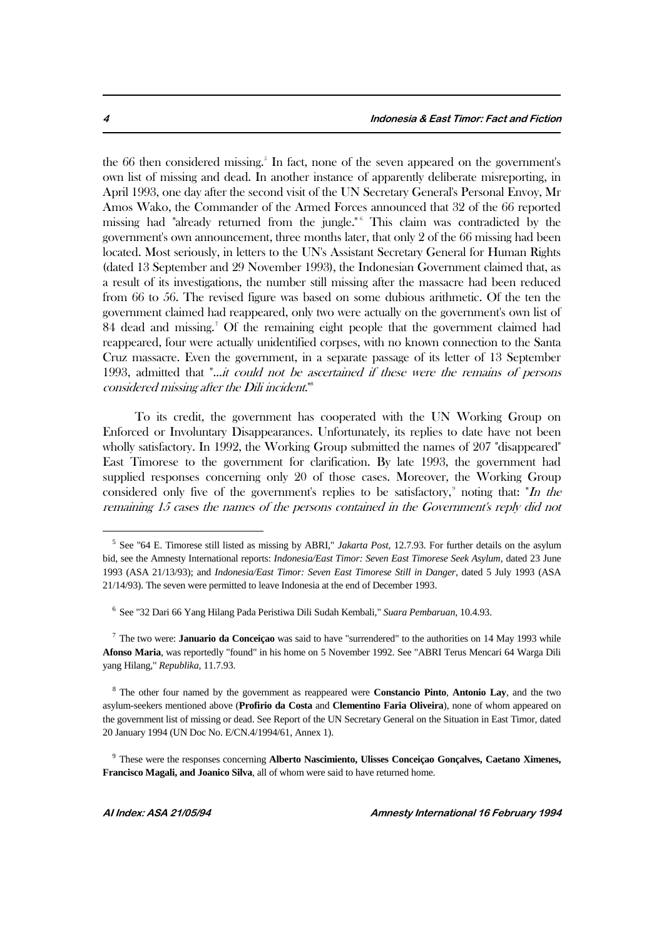the 66 then considered missing.<sup>5</sup> In fact, none of the seven appeared on the government's own list of missing and dead. In another instance of apparently deliberate misreporting, in April 1993, one day after the second visit of the UN Secretary General's Personal Envoy, Mr Amos Wako, the Commander of the Armed Forces announced that 32 of the 66 reported missing had "already returned from the jungle."<sup>6</sup> This claim was contradicted by the government's own announcement, three months later, that only 2 of the 66 missing had been located. Most seriously, in letters to the UN's Assistant Secretary General for Human Rights (dated 13 September and 29 November 1993), the Indonesian Government claimed that, as a result of its investigations, the number still missing after the massacre had been reduced from 66 to 56. The revised figure was based on some dubious arithmetic. Of the ten the government claimed had reappeared, only two were actually on the government's own list of 84 dead and missing.<sup>7</sup> Of the remaining eight people that the government claimed had reappeared, four were actually unidentified corpses, with no known connection to the Santa Cruz massacre. Even the government, in a separate passage of its letter of 13 September 1993, admitted that "...it could not be ascertained if these were the remains of persons considered missing after the Dili incident."<sup>8</sup>

To its credit, the government has cooperated with the UN Working Group on Enforced or Involuntary Disappearances. Unfortunately, its replies to date have not been wholly satisfactory. In 1992, the Working Group submitted the names of 207 "disappeared" East Timorese to the government for clarification. By late 1993, the government had supplied responses concerning only 20 of those cases. Moreover, the Working Group considered only five of the government's replies to be satisfactory,<sup>9</sup> noting that: "In the remaining 15 cases the names of the persons contained in the Government's reply did not

<sup>5</sup> See "64 E. Timorese still listed as missing by ABRI," *Jakarta Post*, 12.7.93. For further details on the asylum bid, see the Amnesty International reports: *Indonesia/East Timor: Seven East Timorese Seek Asylum*, dated 23 June 1993 (ASA 21/13/93); and *Indonesia/East Timor: Seven East Timorese Still in Danger*, dated 5 July 1993 (ASA 21/14/93). The seven were permitted to leave Indonesia at the end of December 1993.

<sup>6</sup> See "32 Dari 66 Yang Hilang Pada Peristiwa Dili Sudah Kembali," *Suara Pembaruan*, 10.4.93.

<sup>7</sup> The two were: **Januario da Conceiçao** was said to have "surrendered" to the authorities on 14 May 1993 while **Afonso Maria**, was reportedly "found" in his home on 5 November 1992. See "ABRI Terus Mencari 64 Warga Dili yang Hilang," *Republika*, 11.7.93.

<sup>8</sup> The other four named by the government as reappeared were **Constancio Pinto**, **Antonio Lay**, and the two asylum-seekers mentioned above (**Profirio da Costa** and **Clementino Faria Oliveira**), none of whom appeared on the government list of missing or dead. See Report of the UN Secretary General on the Situation in East Timor, dated 20 January 1994 (UN Doc No. E/CN.4/1994/61, Annex 1).

<sup>9</sup> These were the responses concerning **Alberto Nascimiento, Ulisses Conceiçao Gonçalves, Caetano Ximenes, Francisco Magali, and Joanico Silva**, all of whom were said to have returned home.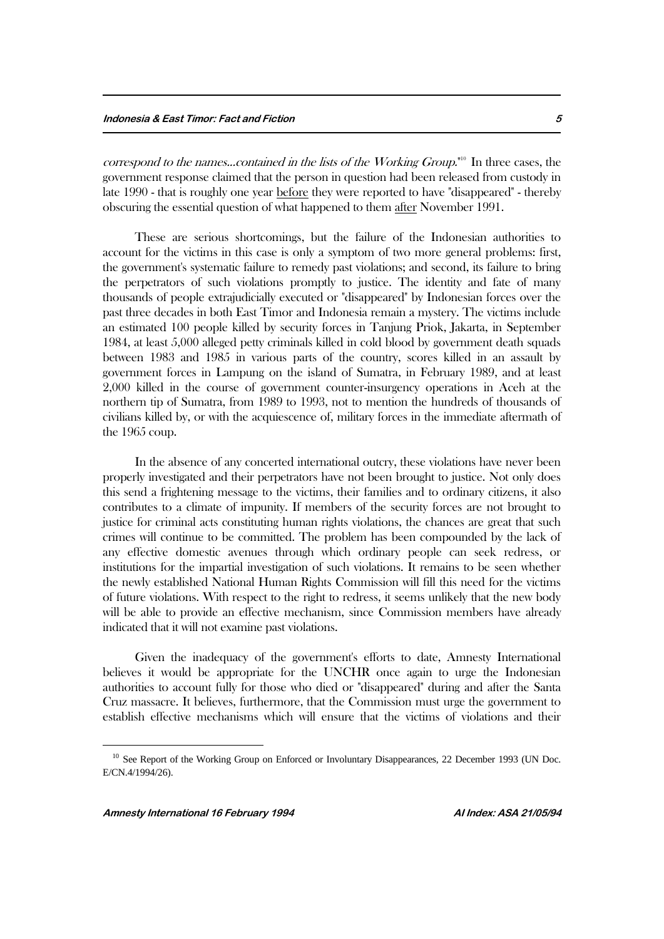correspond to the names...contained in the lists of the Working Group."<sup>10</sup> In three cases, the government response claimed that the person in question had been released from custody in late 1990 - that is roughly one year before they were reported to have "disappeared" - thereby obscuring the essential question of what happened to them after November 1991.

These are serious shortcomings, but the failure of the Indonesian authorities to account for the victims in this case is only a symptom of two more general problems: first, the government's systematic failure to remedy past violations; and second, its failure to bring the perpetrators of such violations promptly to justice. The identity and fate of many thousands of people extrajudicially executed or "disappeared" by Indonesian forces over the past three decades in both East Timor and Indonesia remain a mystery. The victims include an estimated 100 people killed by security forces in Tanjung Priok, Jakarta, in September 1984, at least 5,000 alleged petty criminals killed in cold blood by government death squads between 1983 and 1985 in various parts of the country, scores killed in an assault by government forces in Lampung on the island of Sumatra, in February 1989, and at least 2,000 killed in the course of government counter-insurgency operations in Aceh at the northern tip of Sumatra, from 1989 to 1993, not to mention the hundreds of thousands of civilians killed by, or with the acquiescence of, military forces in the immediate aftermath of the 1965 coup.

In the absence of any concerted international outcry, these violations have never been properly investigated and their perpetrators have not been brought to justice. Not only does this send a frightening message to the victims, their families and to ordinary citizens, it also contributes to a climate of impunity. If members of the security forces are not brought to justice for criminal acts constituting human rights violations, the chances are great that such crimes will continue to be committed. The problem has been compounded by the lack of any effective domestic avenues through which ordinary people can seek redress, or institutions for the impartial investigation of such violations. It remains to be seen whether the newly established National Human Rights Commission will fill this need for the victims of future violations. With respect to the right to redress, it seems unlikely that the new body will be able to provide an effective mechanism, since Commission members have already indicated that it will not examine past violations.

Given the inadequacy of the government's efforts to date, Amnesty International believes it would be appropriate for the UNCHR once again to urge the Indonesian authorities to account fully for those who died or "disappeared" during and after the Santa Cruz massacre. It believes, furthermore, that the Commission must urge the government to establish effective mechanisms which will ensure that the victims of violations and their

 $10$  See Report of the Working Group on Enforced or Involuntary Disappearances, 22 December 1993 (UN Doc. E/CN.4/1994/26).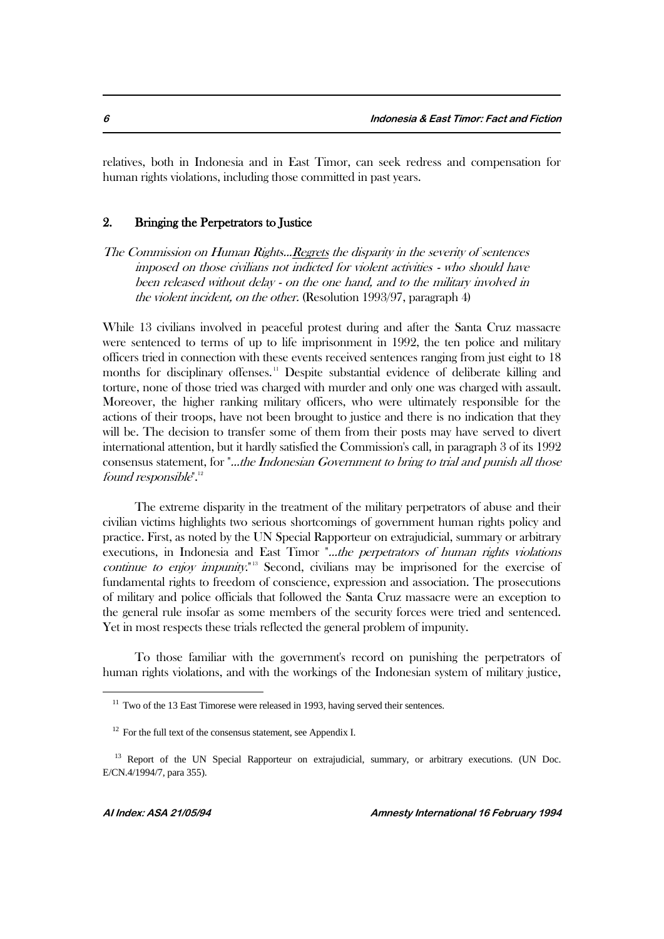relatives, both in Indonesia and in East Timor, can seek redress and compensation for human rights violations, including those committed in past years.

#### 2. Bringing the Perpetrators to Justice

The Commission on Human Rights...Regrets the disparity in the severity of sentences imposed on those civilians not indicted for violent activities - who should have been released without delay - on the one hand, and to the military involved in the violent incident, on the other. (Resolution 1993/97, paragraph 4)

While 13 civilians involved in peaceful protest during and after the Santa Cruz massacre were sentenced to terms of up to life imprisonment in 1992, the ten police and military officers tried in connection with these events received sentences ranging from just eight to 18 months for disciplinary offenses.<sup>11</sup> Despite substantial evidence of deliberate killing and torture, none of those tried was charged with murder and only one was charged with assault. Moreover, the higher ranking military officers, who were ultimately responsible for the actions of their troops, have not been brought to justice and there is no indication that they will be. The decision to transfer some of them from their posts may have served to divert international attention, but it hardly satisfied the Commission's call, in paragraph 3 of its 1992 consensus statement, for "...the Indonesian Government to bring to trial and punish all those found responsible".<sup>12</sup>

The extreme disparity in the treatment of the military perpetrators of abuse and their civilian victims highlights two serious shortcomings of government human rights policy and practice. First, as noted by the UN Special Rapporteur on extrajudicial, summary or arbitrary executions, in Indonesia and East Timor "...the perpetrators of human rights violations continue to enjoy impunity.<sup>"13</sup> Second, civilians may be imprisoned for the exercise of fundamental rights to freedom of conscience, expression and association. The prosecutions of military and police officials that followed the Santa Cruz massacre were an exception to the general rule insofar as some members of the security forces were tried and sentenced. Yet in most respects these trials reflected the general problem of impunity.

To those familiar with the government's record on punishing the perpetrators of human rights violations, and with the workings of the Indonesian system of military justice,

 $11$  Two of the 13 East Timorese were released in 1993, having served their sentences.

 $12$  For the full text of the consensus statement, see Appendix I.

<sup>&</sup>lt;sup>13</sup> Report of the UN Special Rapporteur on extrajudicial, summary, or arbitrary executions. (UN Doc. E/CN.4/1994/7, para 355).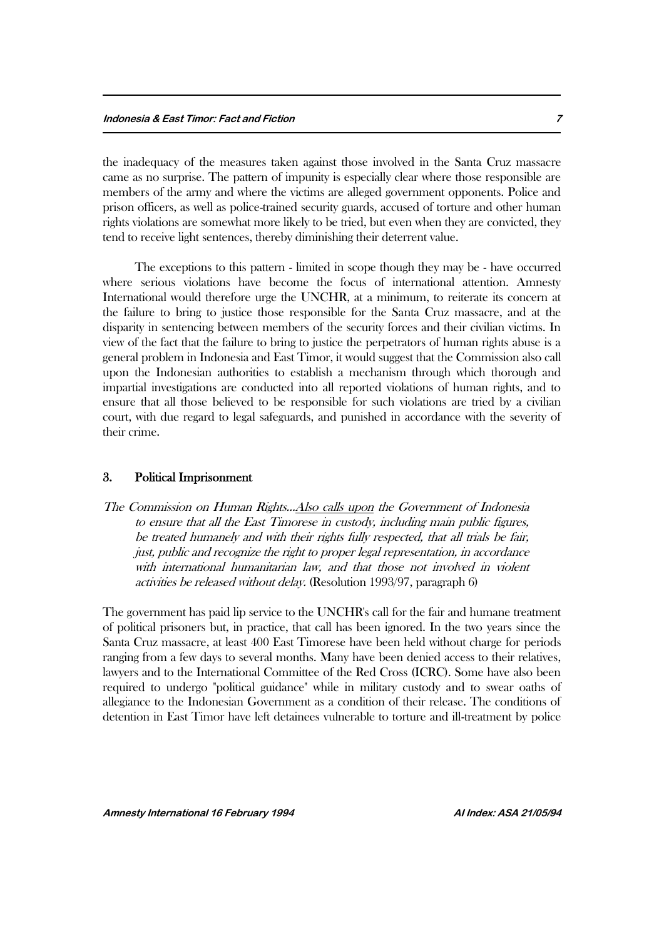the inadequacy of the measures taken against those involved in the Santa Cruz massacre came as no surprise. The pattern of impunity is especially clear where those responsible are members of the army and where the victims are alleged government opponents. Police and prison officers, as well as police-trained security guards, accused of torture and other human rights violations are somewhat more likely to be tried, but even when they are convicted, they tend to receive light sentences, thereby diminishing their deterrent value.

The exceptions to this pattern - limited in scope though they may be - have occurred where serious violations have become the focus of international attention. Amnesty International would therefore urge the UNCHR, at a minimum, to reiterate its concern at the failure to bring to justice those responsible for the Santa Cruz massacre, and at the disparity in sentencing between members of the security forces and their civilian victims. In view of the fact that the failure to bring to justice the perpetrators of human rights abuse is a general problem in Indonesia and East Timor, it would suggest that the Commission also call upon the Indonesian authorities to establish a mechanism through which thorough and impartial investigations are conducted into all reported violations of human rights, and to ensure that all those believed to be responsible for such violations are tried by a civilian court, with due regard to legal safeguards, and punished in accordance with the severity of their crime.

#### 3. Political Imprisonment

The Commission on Human Rights...Also calls upon the Government of Indonesia to ensure that all the East Timorese in custody, including main public figures, be treated humanely and with their rights fully respected, that all trials be fair, just, public and recognize the right to proper legal representation, in accordance with international humanitarian law, and that those not involved in violent activities be released without delay. (Resolution 1993/97, paragraph 6)

The government has paid lip service to the UNCHR's call for the fair and humane treatment of political prisoners but, in practice, that call has been ignored. In the two years since the Santa Cruz massacre, at least 400 East Timorese have been held without charge for periods ranging from a few days to several months. Many have been denied access to their relatives, lawyers and to the International Committee of the Red Cross (ICRC). Some have also been required to undergo "political guidance" while in military custody and to swear oaths of allegiance to the Indonesian Government as a condition of their release. The conditions of detention in East Timor have left detainees vulnerable to torture and ill-treatment by police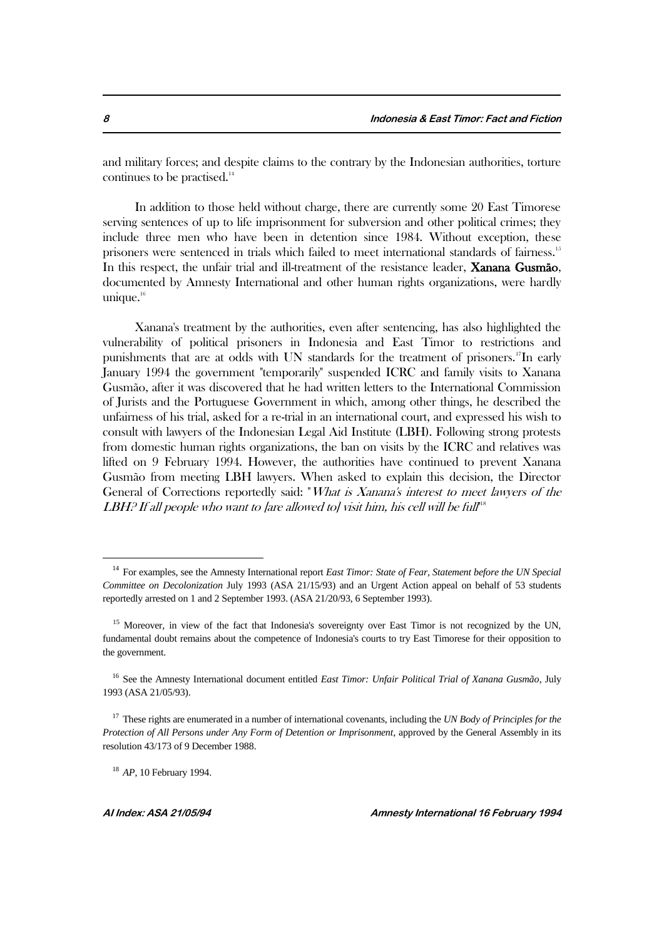and military forces; and despite claims to the contrary by the Indonesian authorities, torture continues to be practised.<sup>14</sup>

In addition to those held without charge, there are currently some 20 East Timorese serving sentences of up to life imprisonment for subversion and other political crimes; they include three men who have been in detention since 1984. Without exception, these prisoners were sentenced in trials which failed to meet international standards of fairness.<sup>15</sup> In this respect, the unfair trial and ill-treatment of the resistance leader, **Xanana Gusmão**, documented by Amnesty International and other human rights organizations, were hardly unique. $16$ 

Xanana's treatment by the authorities, even after sentencing, has also highlighted the vulnerability of political prisoners in Indonesia and East Timor to restrictions and punishments that are at odds with UN standards for the treatment of prisoners.17In early January 1994 the government "temporarily" suspended ICRC and family visits to Xanana Gusmão, after it was discovered that he had written letters to the International Commission of Jurists and the Portuguese Government in which, among other things, he described the unfairness of his trial, asked for a re-trial in an international court, and expressed his wish to consult with lawyers of the Indonesian Legal Aid Institute (LBH). Following strong protests from domestic human rights organizations, the ban on visits by the ICRC and relatives was lifted on 9 February 1994. However, the authorities have continued to prevent Xanana Gusmão from meeting LBH lawyers. When asked to explain this decision, the Director General of Corrections reportedly said: "What is Xanana's interest to meet lawyers of the  $LBH$ ? If all people who want to [are allowed to] visit him, his cell will be full"

<sup>14</sup> For examples, see the Amnesty International report *East Timor: State of Fear, Statement before the UN Special Committee on Decolonization* July 1993 (ASA 21/15/93) and an Urgent Action appeal on behalf of 53 students reportedly arrested on 1 and 2 September 1993. (ASA 21/20/93, 6 September 1993).

<sup>&</sup>lt;sup>15</sup> Moreover, in view of the fact that Indonesia's sovereignty over East Timor is not recognized by the UN, fundamental doubt remains about the competence of Indonesia's courts to try East Timorese for their opposition to the government.

<sup>16</sup> See the Amnesty International document entitled *East Timor: Unfair Political Trial of Xanana Gusmão*, July 1993 (ASA 21/05/93).

<sup>17</sup> These rights are enumerated in a number of international covenants, including the *UN Body of Principles for the Protection of All Persons under Any Form of Detention or Imprisonment*, approved by the General Assembly in its resolution 43/173 of 9 December 1988.

<sup>18</sup> *AP*, 10 February 1994.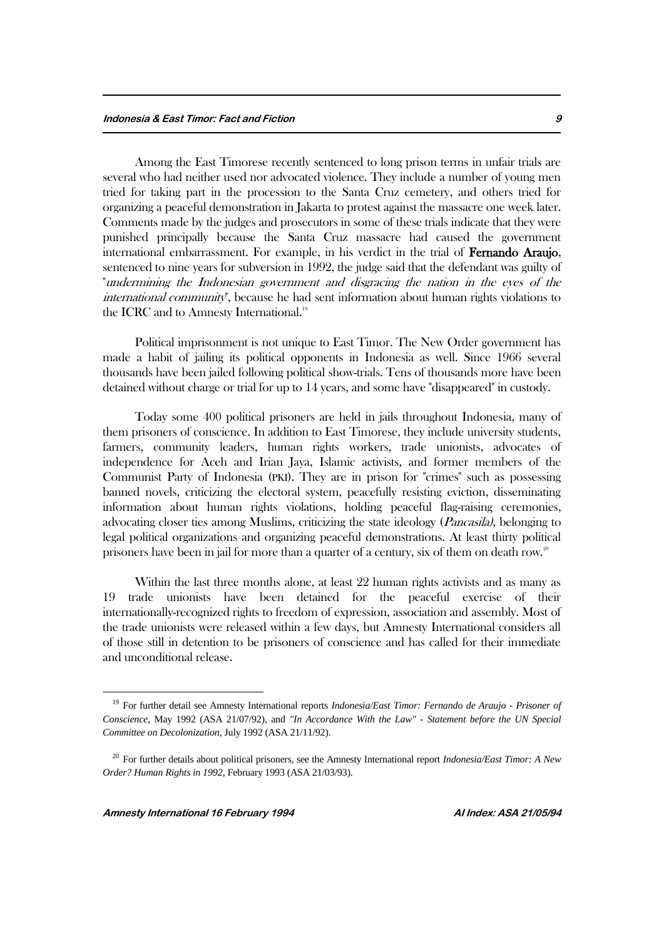Among the East Timorese recently sentenced to long prison terms in unfair trials are several who had neither used nor advocated violence. They include a number of young men tried for taking part in the procession to the Santa Cruz cemetery, and others tried for organizing a peaceful demonstration in Jakarta to protest against the massacre one week later. Comments made by the judges and prosecutors in some of these trials indicate that they were punished principally because the Santa Cruz massacre had caused the government international embarrassment. For example, in his verdict in the trial of Fernando Araujo, sentenced to nine years for subversion in 1992, the judge said that the defendant was guilty of "undermining the Indonesian government and disgracing the nation in the eyes of the international community", because he had sent information about human rights violations to the ICRC and to Amnesty International.<sup>19</sup>

Political imprisonment is not unique to East Timor. The New Order government has made a habit of jailing its political opponents in Indonesia as well. Since 1966 several thousands have been jailed following political show-trials. Tens of thousands more have been detained without charge or trial for up to 14 years, and some have "disappeared" in custody.

Today some 400 political prisoners are held in jails throughout Indonesia, many of them prisoners of conscience. In addition to East Timorese, they include university students, farmers, community leaders, human rights workers, trade unionists, advocates of independence for Aceh and Irian Jaya, Islamic activists, and former members of the Communist Party of Indonesia (PKI). They are in prison for "crimes" such as possessing banned novels, criticizing the electoral system, peacefully resisting eviction, disseminating information about human rights violations, holding peaceful flag-raising ceremonies, advocating closer ties among Muslims, criticizing the state ideology *(Pancasila)*, belonging to legal political organizations and organizing peaceful demonstrations. At least thirty political prisoners have been in jail for more than a quarter of a century, six of them on death row.<sup>20</sup>

Within the last three months alone, at least 22 human rights activists and as many as 19 trade unionists have been detained for the peaceful exercise of their internationally-recognized rights to freedom of expression, association and assembly. Most of the trade unionists were released within a few days, but Amnesty International considers all of those still in detention to be prisoners of conscience and has called for their immediate and unconditional release.

<sup>19</sup> For further detail see Amnesty International reports *Indonesia/East Timor: Fernando de Araujo - Prisoner of Conscience*, May 1992 (ASA 21/07/92), and *"In Accordance With the Law" - Statement before the UN Special Committee on Decolonization*, July 1992 (ASA 21/11/92).

<sup>20</sup> For further details about political prisoners, see the Amnesty International report *Indonesia/East Timor: A New Order? Human Rights in 1992*, February 1993 (ASA 21/03/93).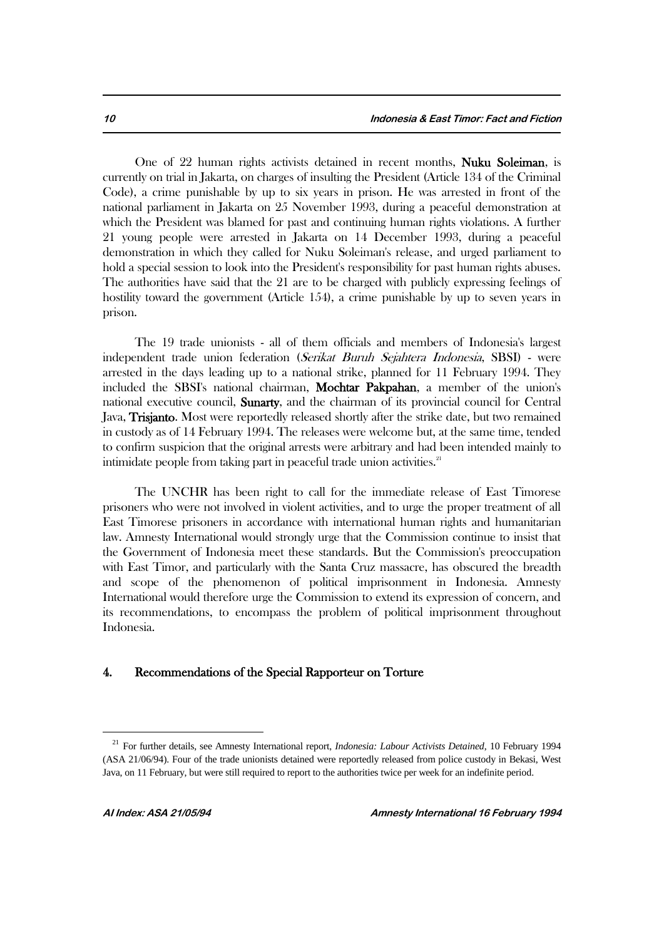One of 22 human rights activists detained in recent months, Nuku Soleiman, is currently on trial in Jakarta, on charges of insulting the President (Article 134 of the Criminal Code), a crime punishable by up to six years in prison. He was arrested in front of the national parliament in Jakarta on 25 November 1993, during a peaceful demonstration at which the President was blamed for past and continuing human rights violations. A further 21 young people were arrested in Jakarta on 14 December 1993, during a peaceful demonstration in which they called for Nuku Soleiman's release, and urged parliament to hold a special session to look into the President's responsibility for past human rights abuses. The authorities have said that the 21 are to be charged with publicly expressing feelings of hostility toward the government (Article 154), a crime punishable by up to seven years in prison.

The 19 trade unionists - all of them officials and members of Indonesia's largest independent trade union federation (Serikat Buruh Sejahtera Indonesia, SBSI) - were arrested in the days leading up to a national strike, planned for 11 February 1994. They included the SBSI's national chairman, Mochtar Pakpahan, a member of the union's national executive council, Sunarty, and the chairman of its provincial council for Central Java, **Trisjanto**. Most were reportedly released shortly after the strike date, but two remained in custody as of 14 February 1994. The releases were welcome but, at the same time, tended to confirm suspicion that the original arrests were arbitrary and had been intended mainly to intimidate people from taking part in peaceful trade union activities.<sup>21</sup>

The UNCHR has been right to call for the immediate release of East Timorese prisoners who were not involved in violent activities, and to urge the proper treatment of all East Timorese prisoners in accordance with international human rights and humanitarian law. Amnesty International would strongly urge that the Commission continue to insist that the Government of Indonesia meet these standards. But the Commission's preoccupation with East Timor, and particularly with the Santa Cruz massacre, has obscured the breadth and scope of the phenomenon of political imprisonment in Indonesia. Amnesty International would therefore urge the Commission to extend its expression of concern, and its recommendations, to encompass the problem of political imprisonment throughout Indonesia.

#### 4. Recommendations of the Special Rapporteur on Torture

<sup>21</sup> For further details, see Amnesty International report, *Indonesia: Labour Activists Detained*, 10 February 1994 (ASA 21/06/94). Four of the trade unionists detained were reportedly released from police custody in Bekasi, West Java, on 11 February, but were still required to report to the authorities twice per week for an indefinite period.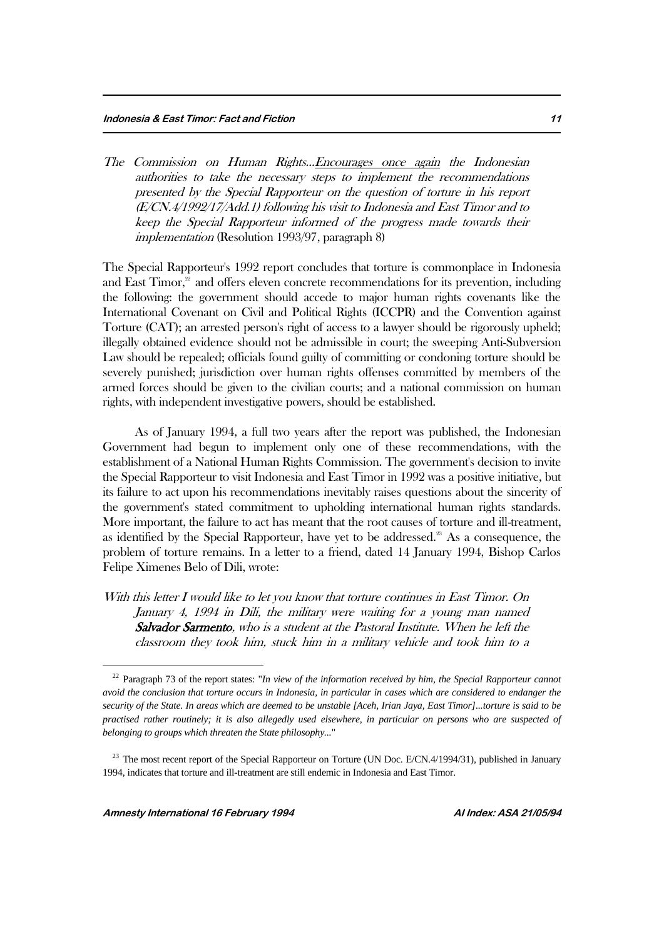The Commission on Human Rights...Encourages once again the Indonesian authorities to take the necessary steps to implement the recommendations presented by the Special Rapporteur on the question of torture in his report (E/CN.4/1992/17/Add.1) following his visit to Indonesia and East Timor and to keep the Special Rapporteur informed of the progress made towards their implementation (Resolution 1993/97, paragraph 8)

The Special Rapporteur's 1992 report concludes that torture is commonplace in Indonesia and East Timor,<sup>22</sup> and offers eleven concrete recommendations for its prevention, including the following: the government should accede to major human rights covenants like the International Covenant on Civil and Political Rights (ICCPR) and the Convention against Torture (CAT); an arrested person's right of access to a lawyer should be rigorously upheld; illegally obtained evidence should not be admissible in court; the sweeping Anti-Subversion Law should be repealed; officials found guilty of committing or condoning torture should be severely punished; jurisdiction over human rights offenses committed by members of the armed forces should be given to the civilian courts; and a national commission on human rights, with independent investigative powers, should be established.

As of January 1994, a full two years after the report was published, the Indonesian Government had begun to implement only one of these recommendations, with the establishment of a National Human Rights Commission. The government's decision to invite the Special Rapporteur to visit Indonesia and East Timor in 1992 was a positive initiative, but its failure to act upon his recommendations inevitably raises questions about the sincerity of the government's stated commitment to upholding international human rights standards. More important, the failure to act has meant that the root causes of torture and ill-treatment, as identified by the Special Rapporteur, have yet to be addressed.<sup>23</sup> As a consequence, the problem of torture remains. In a letter to a friend, dated 14 January 1994, Bishop Carlos Felipe Ximenes Belo of Dili, wrote:

With this letter I would like to let you know that torture continues in East Timor. On January 4, 1994 in Dili, the military were waiting for a young man named Salvador Sarmento, who is a student at the Pastoral Institute. When he left the classroom they took him, stuck him in a military vehicle and took him to a

<sup>22</sup> Paragraph 73 of the report states: "*In view of the information received by him, the Special Rapporteur cannot avoid the conclusion that torture occurs in Indonesia, in particular in cases which are considered to endanger the security of the State. In areas which are deemed to be unstable [Aceh, Irian Jaya, East Timor]...torture is said to be practised rather routinely; it is also allegedly used elsewhere, in particular on persons who are suspected of belonging to groups which threaten the State philosophy...*"

<sup>&</sup>lt;sup>23</sup> The most recent report of the Special Rapporteur on Torture (UN Doc. E/CN.4/1994/31), published in January 1994, indicates that torture and ill-treatment are still endemic in Indonesia and East Timor.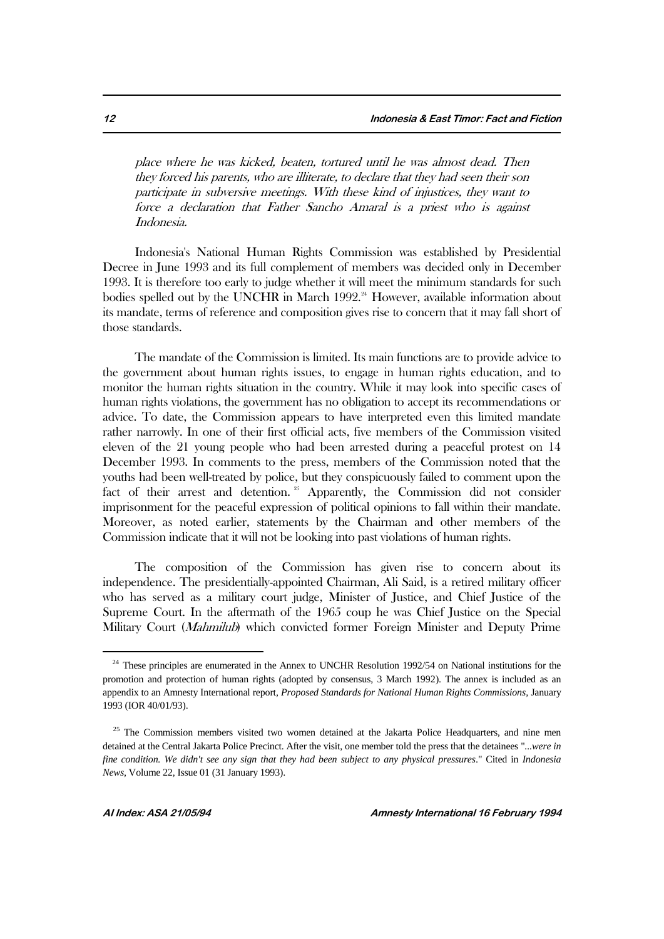place where he was kicked, beaten, tortured until he was almost dead. Then they forced his parents, who are illiterate, to declare that they had seen their son participate in subversive meetings. With these kind of injustices, they want to force a declaration that Father Sancho Amaral is a priest who is against Indonesia.

Indonesia's National Human Rights Commission was established by Presidential Decree in June 1993 and its full complement of members was decided only in December 1993. It is therefore too early to judge whether it will meet the minimum standards for such bodies spelled out by the UNCHR in March  $1992.^{24}$  However, available information about its mandate, terms of reference and composition gives rise to concern that it may fall short of those standards.

The mandate of the Commission is limited. Its main functions are to provide advice to the government about human rights issues, to engage in human rights education, and to monitor the human rights situation in the country. While it may look into specific cases of human rights violations, the government has no obligation to accept its recommendations or advice. To date, the Commission appears to have interpreted even this limited mandate rather narrowly. In one of their first official acts, five members of the Commission visited eleven of the 21 young people who had been arrested during a peaceful protest on 14 December 1993. In comments to the press, members of the Commission noted that the youths had been well-treated by police, but they conspicuously failed to comment upon the fact of their arrest and detention.<sup>25</sup> Apparently, the Commission did not consider imprisonment for the peaceful expression of political opinions to fall within their mandate. Moreover, as noted earlier, statements by the Chairman and other members of the Commission indicate that it will not be looking into past violations of human rights.

The composition of the Commission has given rise to concern about its independence. The presidentially-appointed Chairman, Ali Said, is a retired military officer who has served as a military court judge, Minister of Justice, and Chief Justice of the Supreme Court. In the aftermath of the 1965 coup he was Chief Justice on the Special Military Court (Mahmilub) which convicted former Foreign Minister and Deputy Prime

<sup>&</sup>lt;sup>24</sup> These principles are enumerated in the Annex to UNCHR Resolution 1992/54 on National institutions for the promotion and protection of human rights (adopted by consensus, 3 March 1992). The annex is included as an appendix to an Amnesty International report, *Proposed Standards for National Human Rights Commissions*, January 1993 (IOR 40/01/93).

<sup>&</sup>lt;sup>25</sup> The Commission members visited two women detained at the Jakarta Police Headquarters, and nine men detained at the Central Jakarta Police Precinct. After the visit, one member told the press that the detainees "*...were in fine condition. We didn't see any sign that they had been subject to any physical pressures*." Cited in *Indonesia News*, Volume 22, Issue 01 (31 January 1993).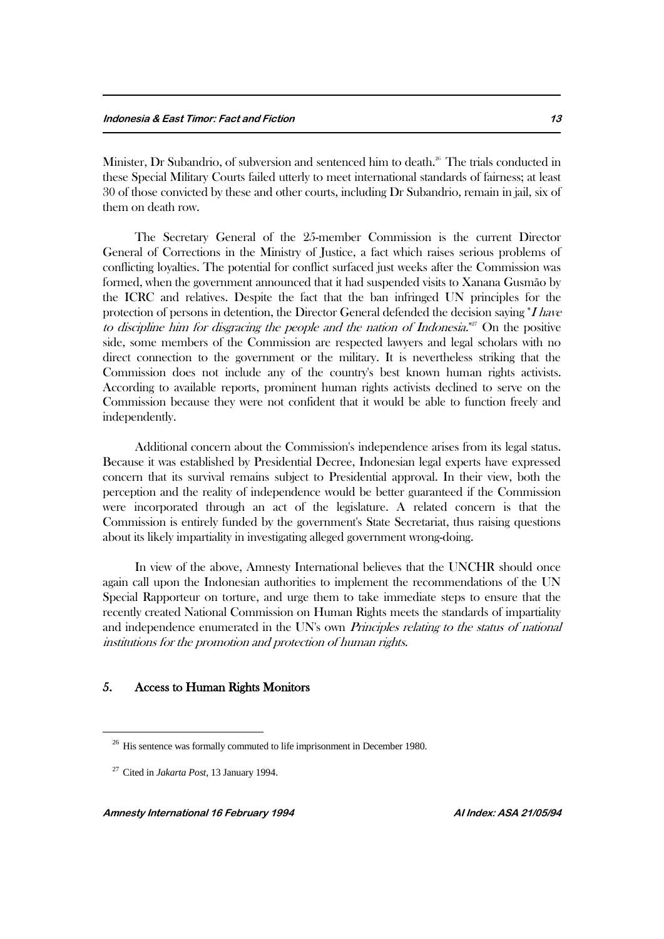Minister, Dr Subandrio, of subversion and sentenced him to death.<sup>26</sup> The trials conducted in these Special Military Courts failed utterly to meet international standards of fairness; at least 30 of those convicted by these and other courts, including Dr Subandrio, remain in jail, six of them on death row.

The Secretary General of the 25-member Commission is the current Director General of Corrections in the Ministry of Justice, a fact which raises serious problems of conflicting loyalties. The potential for conflict surfaced just weeks after the Commission was formed, when the government announced that it had suspended visits to Xanana Gusmão by the ICRC and relatives. Despite the fact that the ban infringed UN principles for the protection of persons in detention, the Director General defended the decision saying  $H$  have to discipline him for disgracing the people and the nation of Indonesia.<sup>"27</sup> On the positive side, some members of the Commission are respected lawyers and legal scholars with no direct connection to the government or the military. It is nevertheless striking that the Commission does not include any of the country's best known human rights activists. According to available reports, prominent human rights activists declined to serve on the Commission because they were not confident that it would be able to function freely and independently.

Additional concern about the Commission's independence arises from its legal status. Because it was established by Presidential Decree, Indonesian legal experts have expressed concern that its survival remains subject to Presidential approval. In their view, both the perception and the reality of independence would be better guaranteed if the Commission were incorporated through an act of the legislature. A related concern is that the Commission is entirely funded by the government's State Secretariat, thus raising questions about its likely impartiality in investigating alleged government wrong-doing.

In view of the above, Amnesty International believes that the UNCHR should once again call upon the Indonesian authorities to implement the recommendations of the UN Special Rapporteur on torture, and urge them to take immediate steps to ensure that the recently created National Commission on Human Rights meets the standards of impartiality and independence enumerated in the UN's own *Principles relating to the status of national* institutions for the promotion and protection of human rights.

## 5. Access to Human Rights Monitors

<sup>&</sup>lt;sup>26</sup> His sentence was formally commuted to life imprisonment in December 1980.

<sup>27</sup> Cited in *Jakarta Post*, 13 January 1994.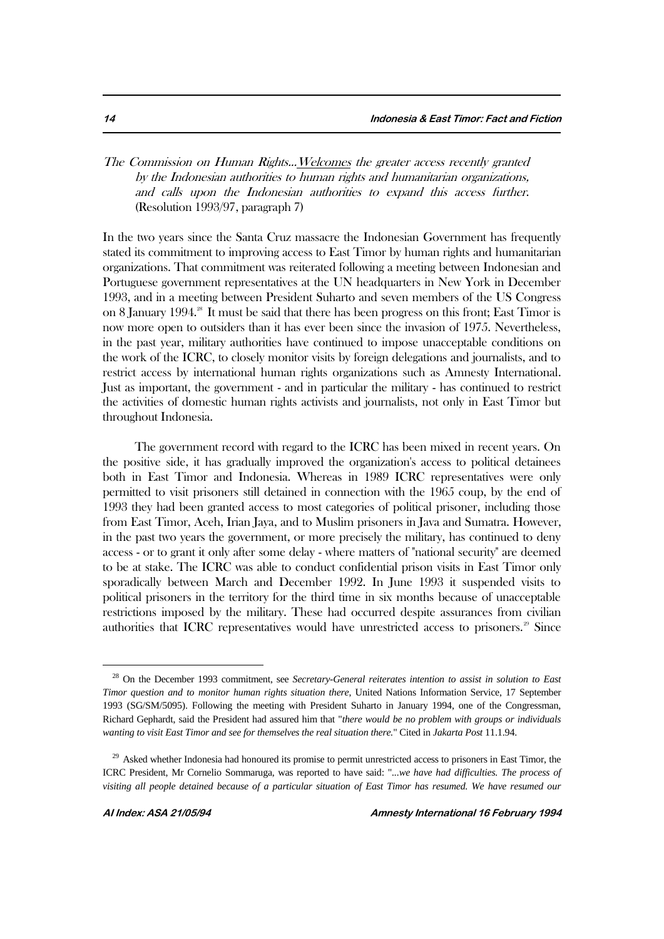# The Commission on Human Rights...Welcomes the greater access recently granted by the Indonesian authorities to human rights and humanitarian organizations, and calls upon the Indonesian authorities to expand this access further. (Resolution 1993/97, paragraph 7)

In the two years since the Santa Cruz massacre the Indonesian Government has frequently stated its commitment to improving access to East Timor by human rights and humanitarian organizations. That commitment was reiterated following a meeting between Indonesian and Portuguese government representatives at the UN headquarters in New York in December 1993, and in a meeting between President Suharto and seven members of the US Congress on 8 January 1994.<sup>28</sup> It must be said that there has been progress on this front; East Timor is now more open to outsiders than it has ever been since the invasion of 1975. Nevertheless, in the past year, military authorities have continued to impose unacceptable conditions on the work of the ICRC, to closely monitor visits by foreign delegations and journalists, and to restrict access by international human rights organizations such as Amnesty International. Just as important, the government - and in particular the military - has continued to restrict the activities of domestic human rights activists and journalists, not only in East Timor but throughout Indonesia.

The government record with regard to the ICRC has been mixed in recent years. On the positive side, it has gradually improved the organization's access to political detainees both in East Timor and Indonesia. Whereas in 1989 ICRC representatives were only permitted to visit prisoners still detained in connection with the 1965 coup, by the end of 1993 they had been granted access to most categories of political prisoner, including those from East Timor, Aceh, Irian Jaya, and to Muslim prisoners in Java and Sumatra. However, in the past two years the government, or more precisely the military, has continued to deny access - or to grant it only after some delay - where matters of "national security" are deemed to be at stake. The ICRC was able to conduct confidential prison visits in East Timor only sporadically between March and December 1992. In June 1993 it suspended visits to political prisoners in the territory for the third time in six months because of unacceptable restrictions imposed by the military. These had occurred despite assurances from civilian authorities that ICRC representatives would have unrestricted access to prisoners.<sup>29</sup> Since

<sup>&</sup>lt;sup>28</sup> On the December 1993 commitment, see *Secretary-General reiterates intention to assist in solution to East Timor question and to monitor human rights situation there*, United Nations Information Service, 17 September 1993 (SG/SM/5095). Following the meeting with President Suharto in January 1994, one of the Congressman, Richard Gephardt, said the President had assured him that "*there would be no problem with groups or individuals wanting to visit East Timor and see for themselves the real situation there.*" Cited in *Jakarta Post* 11.1.94.

<sup>&</sup>lt;sup>29</sup> Asked whether Indonesia had honoured its promise to permit unrestricted access to prisoners in East Timor, the ICRC President, Mr Cornelio Sommaruga, was reported to have said: "*...we have had difficulties. The process of visiting all people detained because of a particular situation of East Timor has resumed. We have resumed our*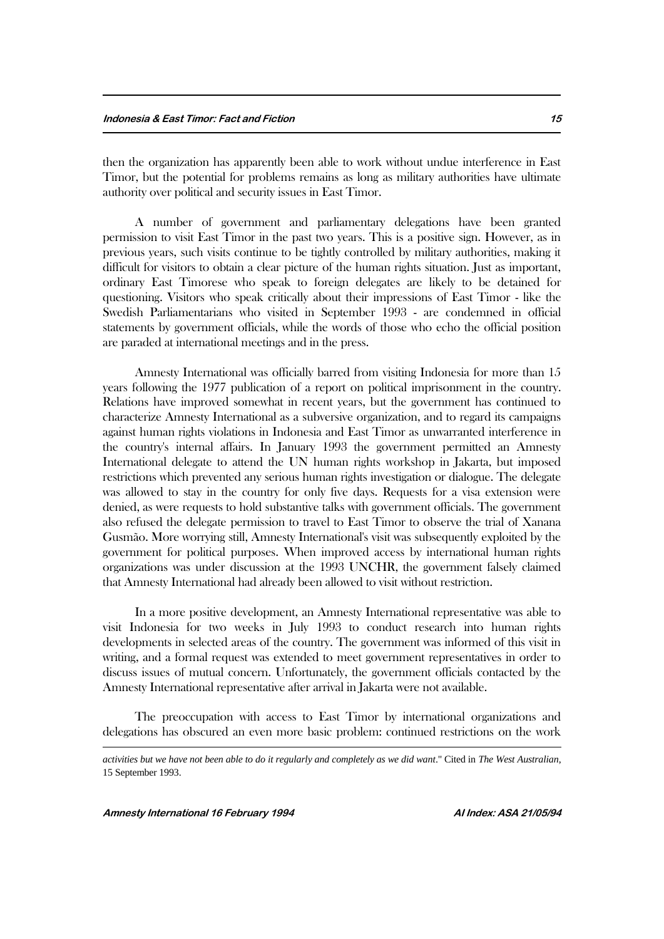then the organization has apparently been able to work without undue interference in East Timor, but the potential for problems remains as long as military authorities have ultimate authority over political and security issues in East Timor.

A number of government and parliamentary delegations have been granted permission to visit East Timor in the past two years. This is a positive sign. However, as in previous years, such visits continue to be tightly controlled by military authorities, making it difficult for visitors to obtain a clear picture of the human rights situation. Just as important, ordinary East Timorese who speak to foreign delegates are likely to be detained for questioning. Visitors who speak critically about their impressions of East Timor - like the Swedish Parliamentarians who visited in September 1993 - are condemned in official statements by government officials, while the words of those who echo the official position are paraded at international meetings and in the press.

Amnesty International was officially barred from visiting Indonesia for more than 15 years following the 1977 publication of a report on political imprisonment in the country. Relations have improved somewhat in recent years, but the government has continued to characterize Amnesty International as a subversive organization, and to regard its campaigns against human rights violations in Indonesia and East Timor as unwarranted interference in the country's internal affairs. In January 1993 the government permitted an Amnesty International delegate to attend the UN human rights workshop in Jakarta, but imposed restrictions which prevented any serious human rights investigation or dialogue. The delegate was allowed to stay in the country for only five days. Requests for a visa extension were denied, as were requests to hold substantive talks with government officials. The government also refused the delegate permission to travel to East Timor to observe the trial of Xanana Gusmão. More worrying still, Amnesty International's visit was subsequently exploited by the government for political purposes. When improved access by international human rights organizations was under discussion at the 1993 UNCHR, the government falsely claimed that Amnesty International had already been allowed to visit without restriction.

In a more positive development, an Amnesty International representative was able to visit Indonesia for two weeks in July 1993 to conduct research into human rights developments in selected areas of the country. The government was informed of this visit in writing, and a formal request was extended to meet government representatives in order to discuss issues of mutual concern. Unfortunately, the government officials contacted by the Amnesty International representative after arrival in Jakarta were not available.

The preoccupation with access to East Timor by international organizations and delegations has obscured an even more basic problem: continued restrictions on the work

1

*activities but we have not been able to do it regularly and completely as we did want*." Cited in *The West Australian*, 15 September 1993.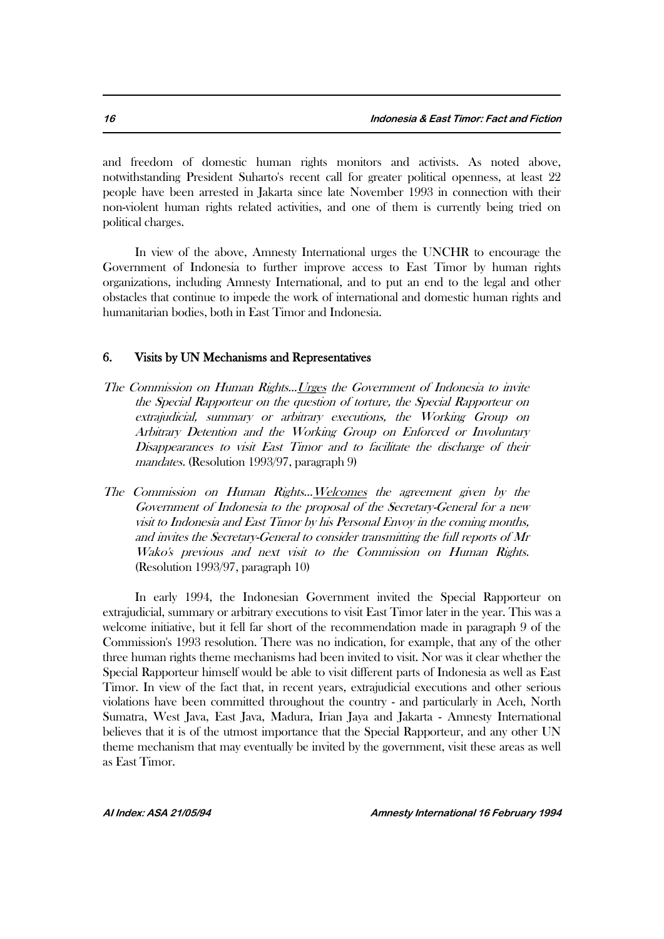and freedom of domestic human rights monitors and activists. As noted above, notwithstanding President Suharto's recent call for greater political openness, at least 22 people have been arrested in Jakarta since late November 1993 in connection with their non-violent human rights related activities, and one of them is currently being tried on political charges.

In view of the above, Amnesty International urges the UNCHR to encourage the Government of Indonesia to further improve access to East Timor by human rights organizations, including Amnesty International, and to put an end to the legal and other obstacles that continue to impede the work of international and domestic human rights and humanitarian bodies, both in East Timor and Indonesia.

#### 6. Visits by UN Mechanisms and Representatives

- The Commission on Human Rights...Urges the Government of Indonesia to invite the Special Rapporteur on the question of torture, the Special Rapporteur on extrajudicial, summary or arbitrary executions, the Working Group on Arbitrary Detention and the Working Group on Enforced or Involuntary Disappearances to visit East Timor and to facilitate the discharge of their mandates. (Resolution 1993/97, paragraph 9)
- The Commission on Human Rights...Welcomes the agreement given by the Government of Indonesia to the proposal of the Secretary-General for a new visit to Indonesia and East Timor by his Personal Envoy in the coming months, and invites the Secretary-General to consider transmitting the full reports of Mr Wako's previous and next visit to the Commission on Human Rights. (Resolution 1993/97, paragraph 10)

In early 1994, the Indonesian Government invited the Special Rapporteur on extrajudicial, summary or arbitrary executions to visit East Timor later in the year. This was a welcome initiative, but it fell far short of the recommendation made in paragraph 9 of the Commission's 1993 resolution. There was no indication, for example, that any of the other three human rights theme mechanisms had been invited to visit. Nor was it clear whether the Special Rapporteur himself would be able to visit different parts of Indonesia as well as East Timor. In view of the fact that, in recent years, extrajudicial executions and other serious violations have been committed throughout the country - and particularly in Aceh, North Sumatra, West Java, East Java, Madura, Irian Jaya and Jakarta - Amnesty International believes that it is of the utmost importance that the Special Rapporteur, and any other UN theme mechanism that may eventually be invited by the government, visit these areas as well as East Timor.

**AI Index: ASA 21/05/94 Amnesty International 16 February 1994**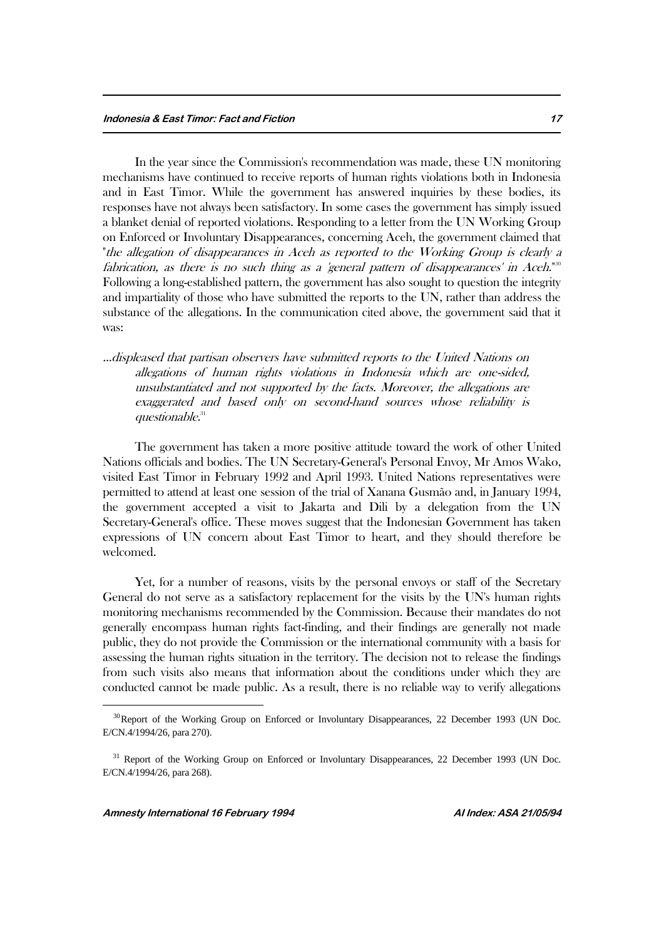In the year since the Commission's recommendation was made, these UN monitoring mechanisms have continued to receive reports of human rights violations both in Indonesia and in East Timor. While the government has answered inquiries by these bodies, its responses have not always been satisfactory. In some cases the government has simply issued a blanket denial of reported violations. Responding to a letter from the UN Working Group on Enforced or Involuntary Disappearances, concerning Aceh, the government claimed that "the allegation of disappearances in Aceh as reported to the Working Group is clearly a fabrication, as there is no such thing as a 'general pattern of disappearances' in Aceh."<sup>80</sup> Following a long-established pattern, the government has also sought to question the integrity and impartiality of those who have submitted the reports to the UN, rather than address the substance of the allegations. In the communication cited above, the government said that it was:

...displeased that partisan observers have submitted reports to the United Nations on allegations of human rights violations in Indonesia which are one-sided, unsubstantiated and not supported by the facts. Moreover, the allegations are exaggerated and based only on second-hand sources whose reliability is questionable. 31

The government has taken a more positive attitude toward the work of other United Nations officials and bodies. The UN Secretary-General's Personal Envoy, Mr Amos Wako, visited East Timor in February 1992 and April 1993. United Nations representatives were permitted to attend at least one session of the trial of Xanana Gusmão and, in January 1994, the government accepted a visit to Jakarta and Dili by a delegation from the UN Secretary-General's office. These moves suggest that the Indonesian Government has taken expressions of UN concern about East Timor to heart, and they should therefore be welcomed.

Yet, for a number of reasons, visits by the personal envoys or staff of the Secretary General do not serve as a satisfactory replacement for the visits by the UN's human rights monitoring mechanisms recommended by the Commission. Because their mandates do not generally encompass human rights fact-finding, and their findings are generally not made public, they do not provide the Commission or the international community with a basis for assessing the human rights situation in the territory. The decision not to release the findings from such visits also means that information about the conditions under which they are conducted cannot be made public. As a result, there is no reliable way to verify allegations

<sup>&</sup>lt;sup>30</sup>Report of the Working Group on Enforced or Involuntary Disappearances, 22 December 1993 (UN Doc. E/CN.4/1994/26, para 270).

<sup>&</sup>lt;sup>31</sup> Report of the Working Group on Enforced or Involuntary Disappearances, 22 December 1993 (UN Doc. E/CN.4/1994/26, para 268).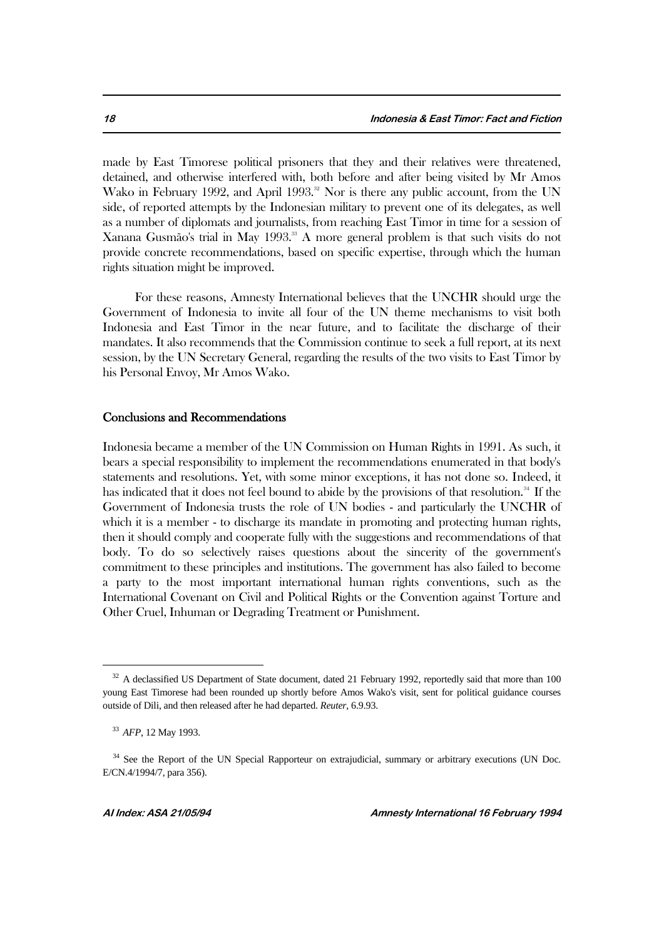made by East Timorese political prisoners that they and their relatives were threatened, detained, and otherwise interfered with, both before and after being visited by Mr Amos Wako in February 1992, and April 1993.<sup>32</sup> Nor is there any public account, from the UN side, of reported attempts by the Indonesian military to prevent one of its delegates, as well as a number of diplomats and journalists, from reaching East Timor in time for a session of Xanana Gusmão's trial in May 1993.<sup>33</sup> A more general problem is that such visits do not provide concrete recommendations, based on specific expertise, through which the human rights situation might be improved.

For these reasons, Amnesty International believes that the UNCHR should urge the Government of Indonesia to invite all four of the UN theme mechanisms to visit both Indonesia and East Timor in the near future, and to facilitate the discharge of their mandates. It also recommends that the Commission continue to seek a full report, at its next session, by the UN Secretary General, regarding the results of the two visits to East Timor by his Personal Envoy, Mr Amos Wako.

#### Conclusions and Recommendations

Indonesia became a member of the UN Commission on Human Rights in 1991. As such, it bears a special responsibility to implement the recommendations enumerated in that body's statements and resolutions. Yet, with some minor exceptions, it has not done so. Indeed, it has indicated that it does not feel bound to abide by the provisions of that resolution.<sup>34</sup> If the Government of Indonesia trusts the role of UN bodies - and particularly the UNCHR of which it is a member - to discharge its mandate in promoting and protecting human rights, then it should comply and cooperate fully with the suggestions and recommendations of that body. To do so selectively raises questions about the sincerity of the government's commitment to these principles and institutions. The government has also failed to become a party to the most important international human rights conventions, such as the International Covenant on Civil and Political Rights or the Convention against Torture and Other Cruel, Inhuman or Degrading Treatment or Punishment.

<sup>&</sup>lt;sup>32</sup> A declassified US Department of State document, dated 21 February 1992, reportedly said that more than 100 young East Timorese had been rounded up shortly before Amos Wako's visit, sent for political guidance courses outside of Dili, and then released after he had departed. *Reuter*, 6.9.93.

<sup>33</sup> *AFP*, 12 May 1993.

<sup>&</sup>lt;sup>34</sup> See the Report of the UN Special Rapporteur on extrajudicial, summary or arbitrary executions (UN Doc. E/CN.4/1994/7, para 356).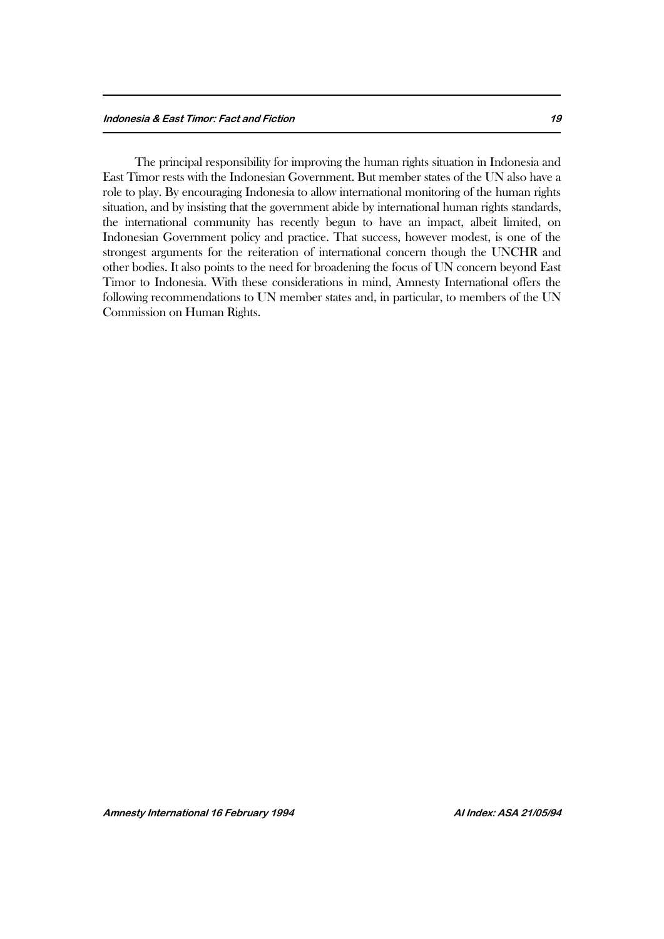The principal responsibility for improving the human rights situation in Indonesia and East Timor rests with the Indonesian Government. But member states of the UN also have a role to play. By encouraging Indonesia to allow international monitoring of the human rights situation, and by insisting that the government abide by international human rights standards, the international community has recently begun to have an impact, albeit limited, on Indonesian Government policy and practice. That success, however modest, is one of the strongest arguments for the reiteration of international concern though the UNCHR and other bodies. It also points to the need for broadening the focus of UN concern beyond East Timor to Indonesia. With these considerations in mind, Amnesty International offers the following recommendations to UN member states and, in particular, to members of the UN Commission on Human Rights.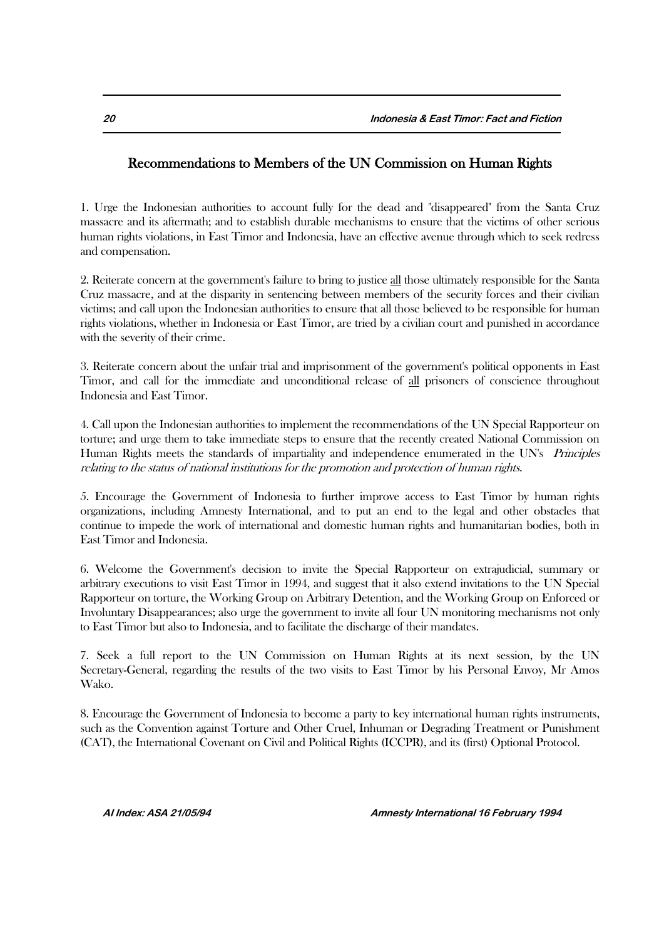# Recommendations to Members of the UN Commission on Human Rights

1. Urge the Indonesian authorities to account fully for the dead and "disappeared" from the Santa Cruz massacre and its aftermath; and to establish durable mechanisms to ensure that the victims of other serious human rights violations, in East Timor and Indonesia, have an effective avenue through which to seek redress and compensation.

2. Reiterate concern at the government's failure to bring to justice all those ultimately responsible for the Santa Cruz massacre, and at the disparity in sentencing between members of the security forces and their civilian victims; and call upon the Indonesian authorities to ensure that all those believed to be responsible for human rights violations, whether in Indonesia or East Timor, are tried by a civilian court and punished in accordance with the severity of their crime.

3. Reiterate concern about the unfair trial and imprisonment of the government's political opponents in East Timor, and call for the immediate and unconditional release of all prisoners of conscience throughout Indonesia and East Timor.

4. Call upon the Indonesian authorities to implement the recommendations of the UN Special Rapporteur on torture; and urge them to take immediate steps to ensure that the recently created National Commission on Human Rights meets the standards of impartiality and independence enumerated in the UN's *Principles* relating to the status of national institutions for the promotion and protection of human rights.

5. Encourage the Government of Indonesia to further improve access to East Timor by human rights organizations, including Amnesty International, and to put an end to the legal and other obstacles that continue to impede the work of international and domestic human rights and humanitarian bodies, both in East Timor and Indonesia.

6. Welcome the Government's decision to invite the Special Rapporteur on extrajudicial, summary or arbitrary executions to visit East Timor in 1994, and suggest that it also extend invitations to the UN Special Rapporteur on torture, the Working Group on Arbitrary Detention, and the Working Group on Enforced or Involuntary Disappearances; also urge the government to invite all four UN monitoring mechanisms not only to East Timor but also to Indonesia, and to facilitate the discharge of their mandates.

7. Seek a full report to the UN Commission on Human Rights at its next session, by the UN Secretary-General, regarding the results of the two visits to East Timor by his Personal Envoy, Mr Amos Wako.

8. Encourage the Government of Indonesia to become a party to key international human rights instruments, such as the Convention against Torture and Other Cruel, Inhuman or Degrading Treatment or Punishment (CAT), the International Covenant on Civil and Political Rights (ICCPR), and its (first) Optional Protocol.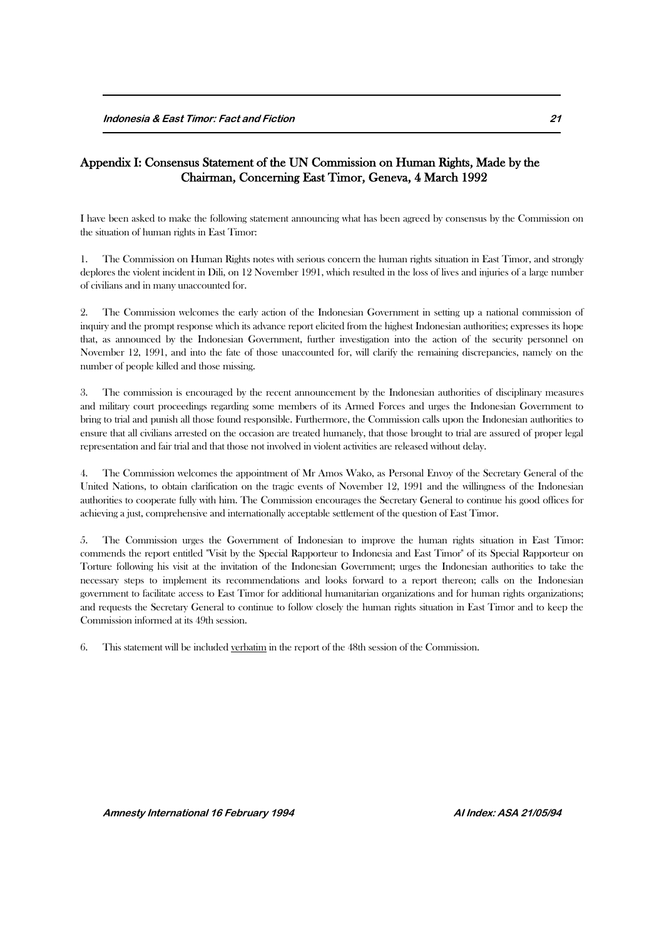# Appendix I: Consensus Statement of the UN Commission on Human Rights, Made by the Chairman, Concerning East Timor, Geneva, 4 March 1992

I have been asked to make the following statement announcing what has been agreed by consensus by the Commission on the situation of human rights in East Timor:

1. The Commission on Human Rights notes with serious concern the human rights situation in East Timor, and strongly deplores the violent incident in Dili, on 12 November 1991, which resulted in the loss of lives and injuries of a large number of civilians and in many unaccounted for.

2. The Commission welcomes the early action of the Indonesian Government in setting up a national commission of inquiry and the prompt response which its advance report elicited from the highest Indonesian authorities; expresses its hope that, as announced by the Indonesian Government, further investigation into the action of the security personnel on November 12, 1991, and into the fate of those unaccounted for, will clarify the remaining discrepancies, namely on the number of people killed and those missing.

3. The commission is encouraged by the recent announcement by the Indonesian authorities of disciplinary measures and military court proceedings regarding some members of its Armed Forces and urges the Indonesian Government to bring to trial and punish all those found responsible. Furthermore, the Commission calls upon the Indonesian authorities to ensure that all civilians arrested on the occasion are treated humanely, that those brought to trial are assured of proper legal representation and fair trial and that those not involved in violent activities are released without delay.

4. The Commission welcomes the appointment of Mr Amos Wako, as Personal Envoy of the Secretary General of the United Nations, to obtain clarification on the tragic events of November 12, 1991 and the willingness of the Indonesian authorities to cooperate fully with him. The Commission encourages the Secretary General to continue his good offices for achieving a just, comprehensive and internationally acceptable settlement of the question of East Timor.

5. The Commission urges the Government of Indonesian to improve the human rights situation in East Timor: commends the report entitled "Visit by the Special Rapporteur to Indonesia and East Timor" of its Special Rapporteur on Torture following his visit at the invitation of the Indonesian Government; urges the Indonesian authorities to take the necessary steps to implement its recommendations and looks forward to a report thereon; calls on the Indonesian government to facilitate access to East Timor for additional humanitarian organizations and for human rights organizations; and requests the Secretary General to continue to follow closely the human rights situation in East Timor and to keep the Commission informed at its 49th session.

6. This statement will be included verbatim in the report of the 48th session of the Commission.

**Amnesty International 16 February 1994 AI Index: ASA 21/05/94**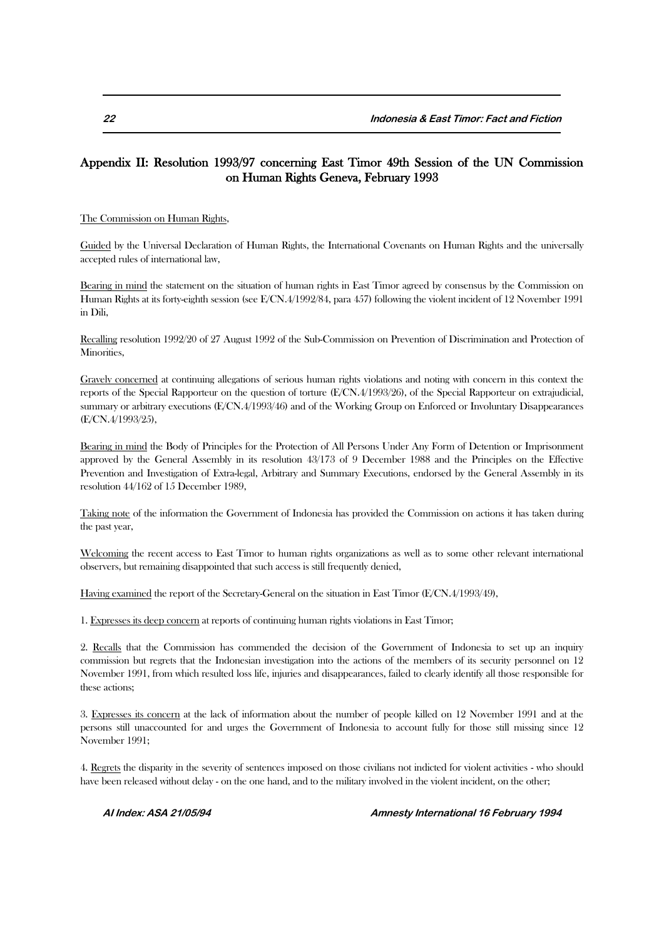## Appendix II: Resolution 1993/97 concerning East Timor 49th Session of the UN Commission on Human Rights Geneva, February 1993

The Commission on Human Rights,

Guided by the Universal Declaration of Human Rights, the International Covenants on Human Rights and the universally accepted rules of international law,

Bearing in mind the statement on the situation of human rights in East Timor agreed by consensus by the Commission on Human Rights at its forty-eighth session (see E/CN.4/1992/84, para 457) following the violent incident of 12 November 1991 in Dili,

Recalling resolution 1992/20 of 27 August 1992 of the Sub-Commission on Prevention of Discrimination and Protection of Minorities,

Gravely concerned at continuing allegations of serious human rights violations and noting with concern in this context the reports of the Special Rapporteur on the question of torture (E/CN.4/1993/26), of the Special Rapporteur on extrajudicial, summary or arbitrary executions (E/CN.4/1993/46) and of the Working Group on Enforced or Involuntary Disappearances (E/CN.4/1993/25),

Bearing in mind the Body of Principles for the Protection of All Persons Under Any Form of Detention or Imprisonment approved by the General Assembly in its resolution 43/173 of 9 December 1988 and the Principles on the Effective Prevention and Investigation of Extra-legal, Arbitrary and Summary Executions, endorsed by the General Assembly in its resolution 44/162 of 15 December 1989,

Taking note of the information the Government of Indonesia has provided the Commission on actions it has taken during the past year,

Welcoming the recent access to East Timor to human rights organizations as well as to some other relevant international observers, but remaining disappointed that such access is still frequently denied,

Having examined the report of the Secretary-General on the situation in East Timor (E/CN.4/1993/49),

1. Expresses its deep concern at reports of continuing human rights violations in East Timor;

2. Recalls that the Commission has commended the decision of the Government of Indonesia to set up an inquiry commission but regrets that the Indonesian investigation into the actions of the members of its security personnel on 12 November 1991, from which resulted loss life, injuries and disappearances, failed to clearly identify all those responsible for these actions;

3. Expresses its concern at the lack of information about the number of people killed on 12 November 1991 and at the persons still unaccounted for and urges the Government of Indonesia to account fully for those still missing since 12 November 1991;

4. Regrets the disparity in the severity of sentences imposed on those civilians not indicted for violent activities - who should have been released without delay - on the one hand, and to the military involved in the violent incident, on the other;

**AI Index: ASA 21/05/94 Amnesty International 16 February 1994**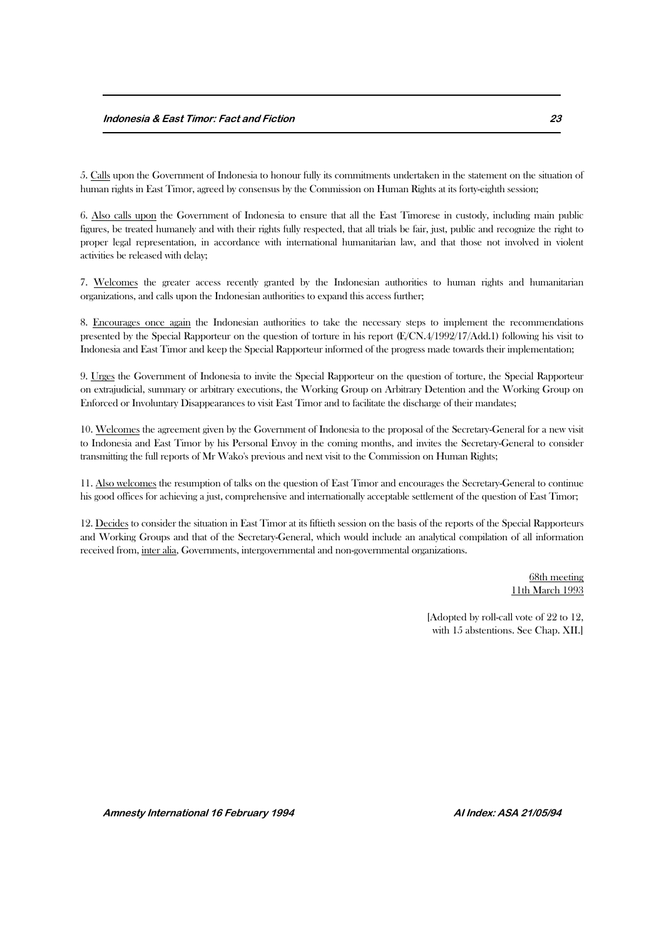5. Calls upon the Government of Indonesia to honour fully its commitments undertaken in the statement on the situation of human rights in East Timor, agreed by consensus by the Commission on Human Rights at its forty-eighth session;

6. Also calls upon the Government of Indonesia to ensure that all the East Timorese in custody, including main public figures, be treated humanely and with their rights fully respected, that all trials be fair, just, public and recognize the right to proper legal representation, in accordance with international humanitarian law, and that those not involved in violent activities be released with delay;

7. Welcomes the greater access recently granted by the Indonesian authorities to human rights and humanitarian organizations, and calls upon the Indonesian authorities to expand this access further;

8. Encourages once again the Indonesian authorities to take the necessary steps to implement the recommendations presented by the Special Rapporteur on the question of torture in his report (E/CN.4/1992/17/Add.1) following his visit to Indonesia and East Timor and keep the Special Rapporteur informed of the progress made towards their implementation;

9. Urges the Government of Indonesia to invite the Special Rapporteur on the question of torture, the Special Rapporteur on extrajudicial, summary or arbitrary executions, the Working Group on Arbitrary Detention and the Working Group on Enforced or Involuntary Disappearances to visit East Timor and to facilitate the discharge of their mandates;

10. Welcomes the agreement given by the Government of Indonesia to the proposal of the Secretary-General for a new visit to Indonesia and East Timor by his Personal Envoy in the coming months, and invites the Secretary-General to consider transmitting the full reports of Mr Wako's previous and next visit to the Commission on Human Rights;

11. Also welcomes the resumption of talks on the question of East Timor and encourages the Secretary-General to continue his good offices for achieving a just, comprehensive and internationally acceptable settlement of the question of East Timor;

12. Decides to consider the situation in East Timor at its fiftieth session on the basis of the reports of the Special Rapporteurs and Working Groups and that of the Secretary-General, which would include an analytical compilation of all information received from, inter alia, Governments, intergovernmental and non-governmental organizations.

> 68th meeting 11th March 1993

[Adopted by roll-call vote of 22 to 12, with 15 abstentions. See Chap. XII.]

**Amnesty International 16 February 1994 AI Index: ASA 21/05/94**